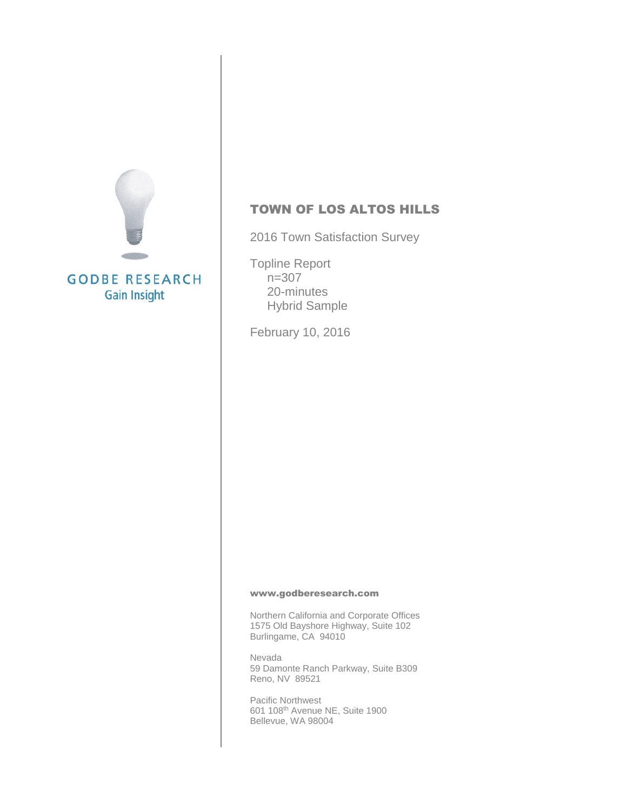

#### TOWN OF LOS ALTOS HILLS

2016 Town Satisfaction Survey

Topline Report n=307 20-minutes Hybrid Sample

February 10, 2016

#### [www.godberesearch.com](http://www.godberesearch.com/)

Northern California and Corporate Offices 1575 Old Bayshore Highway, Suite 102 Burlingame, CA 94010

Nevada 59 Damonte Ranch Parkway, Suite B309 Reno, NV 89521

Pacific Northwest 601 108th Avenue NE, Suite 1900 Bellevue, WA 98004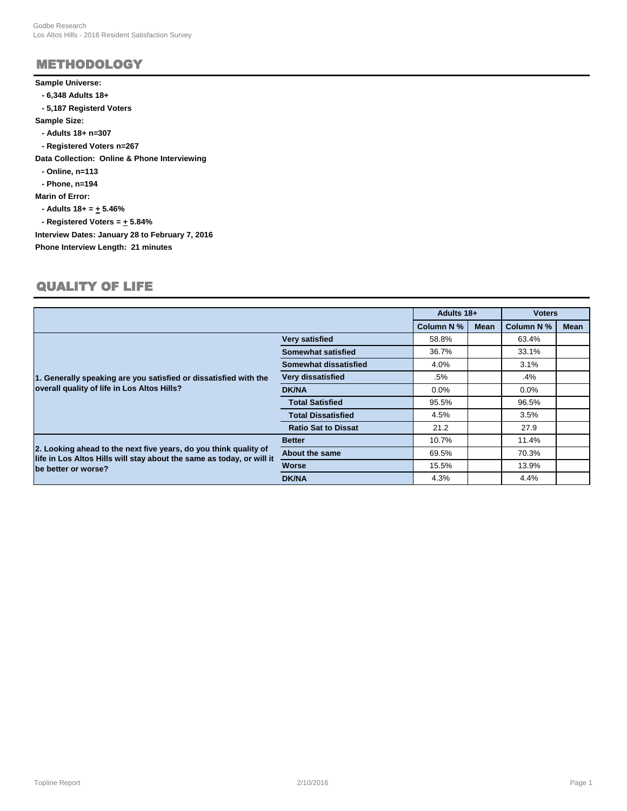# METHODOLOGY

#### **Sample Universe:**

- **6,348 Adults 18+**
- **5,187 Registerd Voters**

**Sample Size:**

- **Adults 18+ n=307**
- **Registered Voters n=267**

**Data Collection: Online & Phone Interviewing**

 **- Online, n=113**

 **- Phone, n=194**

**Marin of Error:**

 **- Adults 18+ = + 5.46%**

 $-$  Registered Voters =  $+$  5.84%

**Interview Dates: January 28 to February 7, 2016**

**Phone Interview Length: 21 minutes**

#### QUALITY OF LIFE

|                                                                                                                                           |                            | Adults 18+       |             | <b>Voters</b> |             |
|-------------------------------------------------------------------------------------------------------------------------------------------|----------------------------|------------------|-------------|---------------|-------------|
|                                                                                                                                           |                            | <b>Column N%</b> | <b>Mean</b> | Column N %    | <b>Mean</b> |
|                                                                                                                                           | <b>Very satisfied</b>      | 58.8%            |             | 63.4%         |             |
| 1. Generally speaking are you satisfied or dissatisfied with the<br>overall quality of life in Los Altos Hills?                           | <b>Somewhat satisfied</b>  | 36.7%            |             | 33.1%         |             |
|                                                                                                                                           | Somewhat dissatisfied      | 4.0%             |             | 3.1%          |             |
|                                                                                                                                           | Very dissatisfied          | .5%              |             | .4%           |             |
|                                                                                                                                           | <b>DK/NA</b>               | $0.0\%$          |             | $0.0\%$       |             |
|                                                                                                                                           | <b>Total Satisfied</b>     | 95.5%            |             | 96.5%         |             |
|                                                                                                                                           | <b>Total Dissatisfied</b>  | 4.5%             |             | 3.5%          |             |
|                                                                                                                                           | <b>Ratio Sat to Dissat</b> | 21.2             |             | 27.9          |             |
|                                                                                                                                           | <b>Better</b>              | 10.7%            |             | 11.4%         |             |
| 2. Looking ahead to the next five years, do you think quality of<br>life in Los Altos Hills will stay about the same as today, or will it | <b>About the same</b>      | 69.5%            |             | 70.3%         |             |
| be better or worse?                                                                                                                       | <b>Worse</b>               | 15.5%            |             | 13.9%         |             |
|                                                                                                                                           | <b>DK/NA</b>               | 4.3%             |             | 4.4%          |             |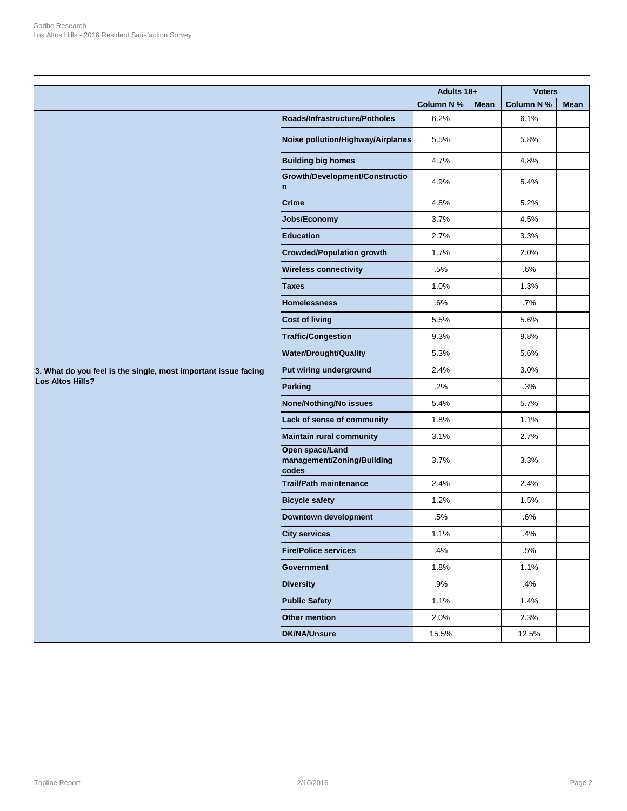|                                                                |                                                        | Adults 18+       |             | <b>Voters</b>     |      |
|----------------------------------------------------------------|--------------------------------------------------------|------------------|-------------|-------------------|------|
|                                                                |                                                        | <b>Column N%</b> | <b>Mean</b> | <b>Column N %</b> | Mean |
|                                                                | Roads/Infrastructure/Potholes                          | 6.2%             |             | 6.1%              |      |
|                                                                | Noise pollution/Highway/Airplanes                      | 5.5%             |             | 5.8%              |      |
|                                                                | <b>Building big homes</b>                              | 4.7%             |             | 4.8%              |      |
|                                                                | Growth/Development/Constructio<br>n                    | 4.9%             |             | 5.4%              |      |
|                                                                | <b>Crime</b>                                           | 4.8%             |             | 5.2%              |      |
|                                                                | Jobs/Economy                                           | 3.7%             |             | 4.5%              |      |
|                                                                | <b>Education</b>                                       | 2.7%             |             | 3.3%              |      |
|                                                                | <b>Crowded/Population growth</b>                       | 1.7%             |             | 2.0%              |      |
|                                                                | <b>Wireless connectivity</b>                           | .5%              |             | .6%               |      |
|                                                                | <b>Taxes</b>                                           | 1.0%             |             | 1.3%              |      |
|                                                                | <b>Homelessness</b>                                    | .6%              |             | $.7\%$            |      |
|                                                                | <b>Cost of living</b>                                  | 5.5%             |             | 5.6%              |      |
|                                                                | <b>Traffic/Congestion</b>                              | 9.3%             |             | 9.8%              |      |
|                                                                | <b>Water/Drought/Quality</b>                           | 5.3%             |             | 5.6%              |      |
| 3. What do you feel is the single, most important issue facing | Put wiring underground                                 | 2.4%             |             | 3.0%              |      |
| <b>Los Altos Hills?</b>                                        | <b>Parking</b>                                         | .2%              |             | .3%               |      |
|                                                                | <b>None/Nothing/No issues</b>                          | 5.4%             |             | 5.7%              |      |
|                                                                | Lack of sense of community                             | 1.8%             |             | 1.1%              |      |
|                                                                | <b>Maintain rural community</b>                        | 3.1%             |             | 2.7%              |      |
|                                                                | Open space/Land<br>management/Zoning/Building<br>codes | 3.7%             |             | 3.3%              |      |
|                                                                | <b>Trail/Path maintenance</b>                          | 2.4%             |             | 2.4%              |      |
|                                                                | <b>Bicycle safety</b>                                  | 1.2%             |             | 1.5%              |      |
|                                                                | <b>Downtown development</b>                            | .5%              |             | .6%               |      |
|                                                                | <b>City services</b>                                   | 1.1%             |             | .4%               |      |
|                                                                | <b>Fire/Police services</b>                            | .4%              |             | .5%               |      |
|                                                                | <b>Government</b>                                      | 1.8%             |             | 1.1%              |      |
|                                                                | <b>Diversity</b>                                       | .9%              |             | .4%               |      |
|                                                                | <b>Public Safety</b>                                   | 1.1%             |             | 1.4%              |      |
|                                                                | Other mention                                          | 2.0%             |             | 2.3%              |      |
|                                                                | <b>DK/NA/Unsure</b>                                    | 15.5%            |             | 12.5%             |      |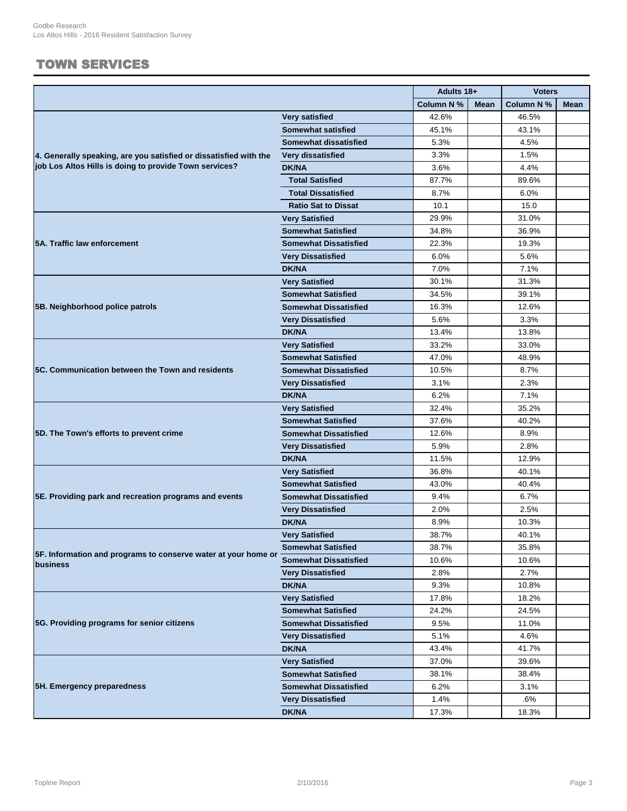### TOWN SERVICES

|                                                                   |                              | Adults 18+ |             | <b>Voters</b> |             |
|-------------------------------------------------------------------|------------------------------|------------|-------------|---------------|-------------|
|                                                                   |                              | Column N % | <b>Mean</b> | Column N %    | <b>Mean</b> |
|                                                                   | <b>Very satisfied</b>        | 42.6%      |             | 46.5%         |             |
|                                                                   | <b>Somewhat satisfied</b>    | 45.1%      |             | 43.1%         |             |
|                                                                   | Somewhat dissatisfied        | 5.3%       |             | 4.5%          |             |
| 4. Generally speaking, are you satisfied or dissatisfied with the | Very dissatisfied            | 3.3%       |             | 1.5%          |             |
| job Los Altos Hills is doing to provide Town services?            | <b>DK/NA</b>                 | 3.6%       |             | 4.4%          |             |
|                                                                   | <b>Total Satisfied</b>       | 87.7%      |             | 89.6%         |             |
|                                                                   | <b>Total Dissatisfied</b>    | 8.7%       |             | 6.0%          |             |
|                                                                   | <b>Ratio Sat to Dissat</b>   | 10.1       |             | 15.0          |             |
|                                                                   | <b>Very Satisfied</b>        | 29.9%      |             | 31.0%         |             |
|                                                                   | <b>Somewhat Satisfied</b>    | 34.8%      |             | 36.9%         |             |
| 5A. Traffic law enforcement                                       | <b>Somewhat Dissatisfied</b> | 22.3%      |             | 19.3%         |             |
|                                                                   | <b>Very Dissatisfied</b>     | 6.0%       |             | 5.6%          |             |
|                                                                   | <b>DK/NA</b>                 | 7.0%       |             | 7.1%          |             |
|                                                                   | <b>Very Satisfied</b>        | 30.1%      |             | 31.3%         |             |
|                                                                   | Somewhat Satisfied           | 34.5%      |             | 39.1%         |             |
| 5B. Neighborhood police patrols                                   | <b>Somewhat Dissatisfied</b> | 16.3%      |             | 12.6%         |             |
|                                                                   | <b>Very Dissatisfied</b>     | 5.6%       |             | 3.3%          |             |
|                                                                   | <b>DK/NA</b>                 | 13.4%      |             | 13.8%         |             |
|                                                                   | <b>Very Satisfied</b>        | 33.2%      |             | 33.0%         |             |
|                                                                   | <b>Somewhat Satisfied</b>    | 47.0%      |             | 48.9%         |             |
| 5C. Communication between the Town and residents                  | <b>Somewhat Dissatisfied</b> | 10.5%      |             | 8.7%          |             |
|                                                                   | <b>Very Dissatisfied</b>     | 3.1%       |             | 2.3%          |             |
|                                                                   | <b>DK/NA</b>                 | 6.2%       |             | 7.1%          |             |
|                                                                   | <b>Very Satisfied</b>        | 32.4%      |             | 35.2%         |             |
|                                                                   | <b>Somewhat Satisfied</b>    | 37.6%      |             | 40.2%         |             |
| 5D. The Town's efforts to prevent crime                           | <b>Somewhat Dissatisfied</b> | 12.6%      |             | 8.9%          |             |
|                                                                   | <b>Very Dissatisfied</b>     | 5.9%       |             | 2.8%          |             |
|                                                                   | <b>DK/NA</b>                 | 11.5%      |             | 12.9%         |             |
|                                                                   | <b>Very Satisfied</b>        | 36.8%      |             | 40.1%         |             |
|                                                                   | <b>Somewhat Satisfied</b>    | 43.0%      |             | 40.4%         |             |
| 5E. Providing park and recreation programs and events             | <b>Somewhat Dissatisfied</b> | 9.4%       |             | 6.7%          |             |
|                                                                   | <b>Very Dissatisfied</b>     | 2.0%       |             | 2.5%          |             |
|                                                                   | <b>DK/NA</b>                 | 8.9%       |             | 10.3%         |             |
|                                                                   | <b>Very Satisfied</b>        | 38.7%      |             | 40.1%         |             |
|                                                                   | <b>Somewhat Satisfied</b>    | 38.7%      |             | 35.8%         |             |
| 5F. Information and programs to conserve water at your home or    | <b>Somewhat Dissatisfied</b> | 10.6%      |             | 10.6%         |             |
| business                                                          | <b>Very Dissatisfied</b>     | 2.8%       |             | 2.7%          |             |
|                                                                   | <b>DK/NA</b>                 | 9.3%       |             | 10.8%         |             |
|                                                                   | <b>Very Satisfied</b>        | 17.8%      |             | 18.2%         |             |
|                                                                   | <b>Somewhat Satisfied</b>    | 24.2%      |             | 24.5%         |             |
| 5G. Providing programs for senior citizens                        | <b>Somewhat Dissatisfied</b> | 9.5%       |             | 11.0%         |             |
|                                                                   | <b>Very Dissatisfied</b>     | 5.1%       |             | 4.6%          |             |
|                                                                   | <b>DK/NA</b>                 | 43.4%      |             | 41.7%         |             |
|                                                                   | <b>Very Satisfied</b>        | 37.0%      |             | 39.6%         |             |
|                                                                   | <b>Somewhat Satisfied</b>    | 38.1%      |             | 38.4%         |             |
| 5H. Emergency preparedness                                        | <b>Somewhat Dissatisfied</b> | 6.2%       |             | 3.1%          |             |
|                                                                   | <b>Very Dissatisfied</b>     | 1.4%       |             | .6%           |             |
|                                                                   | <b>DK/NA</b>                 | 17.3%      |             | 18.3%         |             |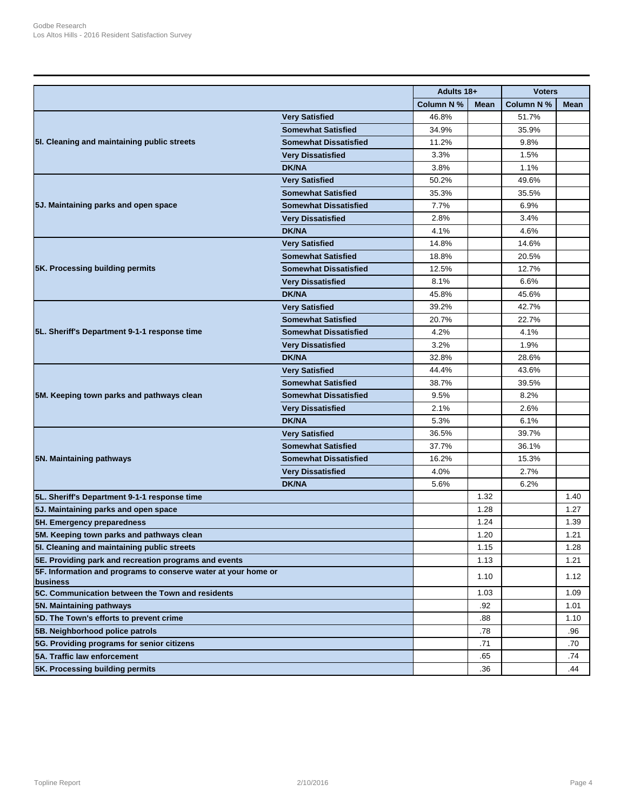|                                                                            |                              | Adults 18+ |             | <b>Voters</b>     |      |
|----------------------------------------------------------------------------|------------------------------|------------|-------------|-------------------|------|
|                                                                            |                              | Column N % | <b>Mean</b> | <b>Column N %</b> | Mean |
|                                                                            | <b>Very Satisfied</b>        | 46.8%      |             | 51.7%             |      |
|                                                                            | <b>Somewhat Satisfied</b>    | 34.9%      |             | 35.9%             |      |
| 5I. Cleaning and maintaining public streets                                | <b>Somewhat Dissatisfied</b> | 11.2%      |             | 9.8%              |      |
|                                                                            | <b>Very Dissatisfied</b>     | 3.3%       |             | 1.5%              |      |
|                                                                            | <b>DK/NA</b>                 | 3.8%       |             | 1.1%              |      |
|                                                                            | <b>Very Satisfied</b>        | 50.2%      |             | 49.6%             |      |
|                                                                            | <b>Somewhat Satisfied</b>    | 35.3%      |             | 35.5%             |      |
| 5J. Maintaining parks and open space                                       | <b>Somewhat Dissatisfied</b> | 7.7%       |             | 6.9%              |      |
|                                                                            | <b>Very Dissatisfied</b>     | 2.8%       |             | 3.4%              |      |
|                                                                            | <b>DK/NA</b>                 | 4.1%       |             | 4.6%              |      |
|                                                                            | <b>Very Satisfied</b>        | 14.8%      |             | 14.6%             |      |
|                                                                            | <b>Somewhat Satisfied</b>    | 18.8%      |             | 20.5%             |      |
| 5K. Processing building permits                                            | <b>Somewhat Dissatisfied</b> | 12.5%      |             | 12.7%             |      |
|                                                                            | <b>Very Dissatisfied</b>     | 8.1%       |             | 6.6%              |      |
|                                                                            | <b>DK/NA</b>                 | 45.8%      |             | 45.6%             |      |
|                                                                            | <b>Very Satisfied</b>        | 39.2%      |             | 42.7%             |      |
| 5L. Sheriff's Department 9-1-1 response time                               | <b>Somewhat Satisfied</b>    | 20.7%      |             | 22.7%             |      |
|                                                                            | <b>Somewhat Dissatisfied</b> | 4.2%       |             | 4.1%              |      |
|                                                                            | <b>Very Dissatisfied</b>     | 3.2%       |             | 1.9%              |      |
|                                                                            | <b>DK/NA</b>                 | 32.8%      |             | 28.6%             |      |
|                                                                            | <b>Very Satisfied</b>        | 44.4%      |             | 43.6%             |      |
|                                                                            | <b>Somewhat Satisfied</b>    | 38.7%      |             | 39.5%             |      |
| 5M. Keeping town parks and pathways clean                                  | <b>Somewhat Dissatisfied</b> | 9.5%       |             | 8.2%              |      |
|                                                                            | <b>Very Dissatisfied</b>     | 2.1%       |             | 2.6%              |      |
|                                                                            | <b>DK/NA</b>                 | 5.3%       |             | 6.1%              |      |
|                                                                            | <b>Very Satisfied</b>        | 36.5%      |             | 39.7%             |      |
|                                                                            | <b>Somewhat Satisfied</b>    | 37.7%      |             | 36.1%             |      |
| 5N. Maintaining pathways                                                   | <b>Somewhat Dissatisfied</b> | 16.2%      |             | 15.3%             |      |
|                                                                            | <b>Very Dissatisfied</b>     | 4.0%       |             | 2.7%              |      |
|                                                                            | <b>DK/NA</b>                 | 5.6%       |             | 6.2%              |      |
| 5L. Sheriff's Department 9-1-1 response time                               |                              |            | 1.32        |                   | 1.40 |
| 5J. Maintaining parks and open space                                       |                              |            | 1.28        |                   | 1.27 |
| 5H. Emergency preparedness                                                 |                              |            | 1.24        |                   | 1.39 |
| 5M. Keeping town parks and pathways clean                                  |                              |            | 1.20        |                   | 1.21 |
| 5I. Cleaning and maintaining public streets                                |                              |            | 1.15        |                   | 1.28 |
| 5E. Providing park and recreation programs and events                      |                              |            | 1.13        |                   | 1.21 |
| 5F. Information and programs to conserve water at your home or<br>business |                              |            | 1.10        |                   | 1.12 |
| 5C. Communication between the Town and residents                           |                              |            | 1.03        |                   | 1.09 |
| 5N. Maintaining pathways                                                   |                              |            | .92         |                   | 1.01 |
| 5D. The Town's efforts to prevent crime                                    |                              |            | .88         |                   | 1.10 |
| 5B. Neighborhood police patrols                                            |                              |            | .78         |                   | .96  |
| 5G. Providing programs for senior citizens                                 |                              |            | .71         |                   | .70  |
| 5A. Traffic law enforcement                                                |                              |            | .65         |                   | .74  |
| 5K. Processing building permits                                            |                              |            | .36         |                   | .44  |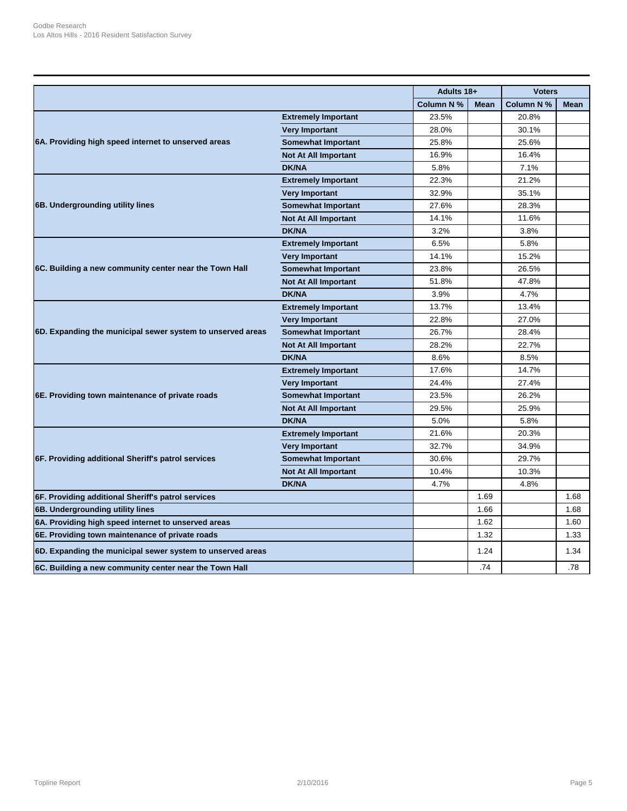|                                                            |                             | Adults 18+ |             | <b>Voters</b>     |             |
|------------------------------------------------------------|-----------------------------|------------|-------------|-------------------|-------------|
|                                                            |                             | Column N % | <b>Mean</b> | <b>Column N %</b> | <b>Mean</b> |
|                                                            | <b>Extremely Important</b>  | 23.5%      |             | 20.8%             |             |
|                                                            | <b>Very Important</b>       | 28.0%      |             | 30.1%             |             |
| 6A. Providing high speed internet to unserved areas        | <b>Somewhat Important</b>   | 25.8%      |             | 25.6%             |             |
|                                                            | <b>Not At All Important</b> | 16.9%      |             | 16.4%             |             |
|                                                            | <b>DK/NA</b>                | 5.8%       |             | 7.1%              |             |
|                                                            | <b>Extremely Important</b>  | 22.3%      |             | 21.2%             |             |
|                                                            | <b>Very Important</b>       | 32.9%      |             | 35.1%             |             |
| 6B. Undergrounding utility lines                           | <b>Somewhat Important</b>   | 27.6%      |             | 28.3%             |             |
|                                                            | <b>Not At All Important</b> | 14.1%      |             | 11.6%             |             |
|                                                            | <b>DK/NA</b>                | 3.2%       |             | 3.8%              |             |
|                                                            | <b>Extremely Important</b>  | 6.5%       |             | 5.8%              |             |
|                                                            | <b>Very Important</b>       | 14.1%      |             | 15.2%             |             |
| 6C. Building a new community center near the Town Hall     | <b>Somewhat Important</b>   | 23.8%      |             | 26.5%             |             |
|                                                            | <b>Not At All Important</b> | 51.8%      |             | 47.8%             |             |
|                                                            | <b>DK/NA</b>                | 3.9%       |             | 4.7%              |             |
|                                                            | <b>Extremely Important</b>  | 13.7%      |             | 13.4%             |             |
|                                                            | <b>Very Important</b>       | 22.8%      |             | 27.0%             |             |
| 6D. Expanding the municipal sewer system to unserved areas | <b>Somewhat Important</b>   | 26.7%      |             | 28.4%             |             |
|                                                            | <b>Not At All Important</b> | 28.2%      |             | 22.7%             |             |
|                                                            | <b>DK/NA</b>                | 8.6%       |             | 8.5%              |             |
|                                                            | <b>Extremely Important</b>  | 17.6%      |             | 14.7%             |             |
|                                                            | <b>Very Important</b>       | 24.4%      |             | 27.4%             |             |
| 6E. Providing town maintenance of private roads            | <b>Somewhat Important</b>   | 23.5%      |             | 26.2%             |             |
|                                                            | <b>Not At All Important</b> | 29.5%      |             | 25.9%             |             |
|                                                            | <b>DK/NA</b>                | 5.0%       |             | 5.8%              |             |
|                                                            | <b>Extremely Important</b>  | 21.6%      |             | 20.3%             |             |
|                                                            | <b>Very Important</b>       | 32.7%      |             | 34.9%             |             |
| 6F. Providing additional Sheriff's patrol services         | <b>Somewhat Important</b>   | 30.6%      |             | 29.7%             |             |
|                                                            | <b>Not At All Important</b> | 10.4%      |             | 10.3%             |             |
|                                                            | <b>DK/NA</b>                | 4.7%       |             | 4.8%              |             |
| 6F. Providing additional Sheriff's patrol services         |                             |            | 1.69        |                   | 1.68        |
| 6B. Undergrounding utility lines                           |                             |            | 1.66        |                   | 1.68        |
| 6A. Providing high speed internet to unserved areas        |                             |            | 1.62        |                   | 1.60        |
| 6E. Providing town maintenance of private roads            |                             |            | 1.32        |                   | 1.33        |
| 6D. Expanding the municipal sewer system to unserved areas |                             |            | 1.24        |                   | 1.34        |
| 6C. Building a new community center near the Town Hall     |                             |            | .74         |                   | .78         |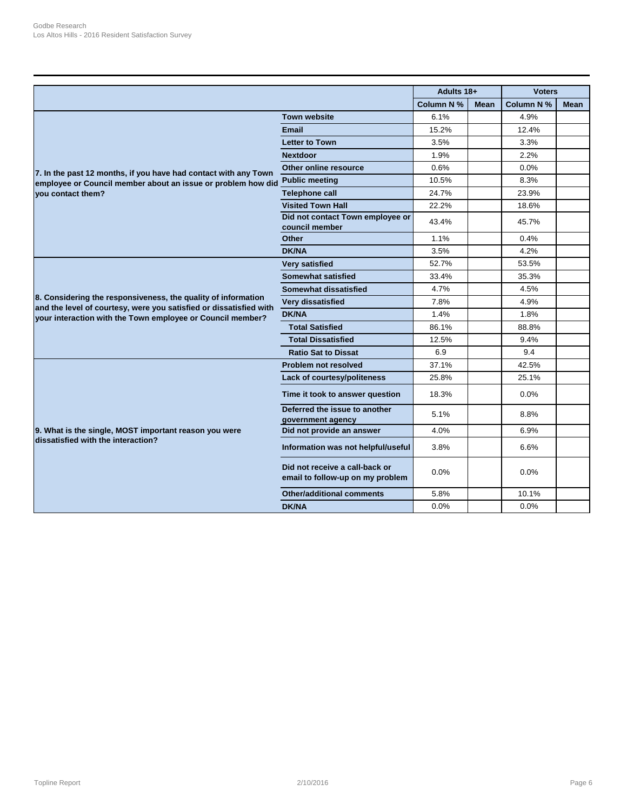|                                                                                                                                     |                                                                    | Adults 18+ |             | <b>Voters</b> |             |
|-------------------------------------------------------------------------------------------------------------------------------------|--------------------------------------------------------------------|------------|-------------|---------------|-------------|
|                                                                                                                                     |                                                                    | Column N % | <b>Mean</b> | Column N %    | <b>Mean</b> |
|                                                                                                                                     | <b>Town website</b>                                                | 6.1%       |             | 4.9%          |             |
|                                                                                                                                     | <b>Email</b>                                                       | 15.2%      |             | 12.4%         |             |
| 7. In the past 12 months, if you have had contact with any Town                                                                     | <b>Letter to Town</b>                                              | 3.5%       |             | 3.3%          |             |
|                                                                                                                                     | <b>Nextdoor</b>                                                    | 1.9%       |             | 2.2%          |             |
|                                                                                                                                     | Other online resource                                              | 0.6%       |             | 0.0%          |             |
| employee or Council member about an issue or problem how did                                                                        | <b>Public meeting</b>                                              | 10.5%      |             | 8.3%          |             |
| vou contact them?                                                                                                                   | <b>Telephone call</b>                                              | 24.7%      |             | 23.9%         |             |
|                                                                                                                                     | <b>Visited Town Hall</b>                                           | 22.2%      |             | 18.6%         |             |
|                                                                                                                                     | Did not contact Town employee or<br>council member                 | 43.4%      |             | 45.7%         |             |
|                                                                                                                                     | <b>Other</b>                                                       | 1.1%       |             | 0.4%          |             |
|                                                                                                                                     | DK/NA                                                              | 3.5%       |             | 4.2%          |             |
|                                                                                                                                     | <b>Very satisfied</b>                                              | 52.7%      |             | 53.5%         |             |
|                                                                                                                                     | Somewhat satisfied                                                 | 33.4%      |             | 35.3%         |             |
|                                                                                                                                     | Somewhat dissatisfied                                              | 4.7%       |             | 4.5%          |             |
| 8. Considering the responsiveness, the quality of information<br>and the level of courtesy, were you satisfied or dissatisfied with | Very dissatisfied                                                  | 7.8%       |             | 4.9%          |             |
| your interaction with the Town employee or Council member?                                                                          | <b>DK/NA</b>                                                       | 1.4%       |             | 1.8%          |             |
|                                                                                                                                     | <b>Total Satisfied</b>                                             | 86.1%      |             | 88.8%         |             |
|                                                                                                                                     | <b>Total Dissatisfied</b>                                          | 12.5%      |             | 9.4%          |             |
|                                                                                                                                     | <b>Ratio Sat to Dissat</b>                                         | 6.9        |             | 9.4           |             |
|                                                                                                                                     | <b>Problem not resolved</b>                                        | 37.1%      |             | 42.5%         |             |
|                                                                                                                                     | Lack of courtesy/politeness                                        | 25.8%      |             | 25.1%         |             |
|                                                                                                                                     | Time it took to answer question                                    | 18.3%      |             | $0.0\%$       |             |
|                                                                                                                                     | Deferred the issue to another<br>government agency                 | 5.1%       |             | 8.8%          |             |
| 9. What is the single, MOST important reason you were                                                                               | Did not provide an answer                                          | 4.0%       |             | 6.9%          |             |
| dissatisfied with the interaction?                                                                                                  | Information was not helpful/useful                                 | 3.8%       |             | 6.6%          |             |
|                                                                                                                                     | Did not receive a call-back or<br>email to follow-up on my problem | 0.0%       |             | 0.0%          |             |
|                                                                                                                                     | <b>Other/additional comments</b>                                   | 5.8%       |             | 10.1%         |             |
|                                                                                                                                     | <b>DK/NA</b>                                                       | 0.0%       |             | 0.0%          |             |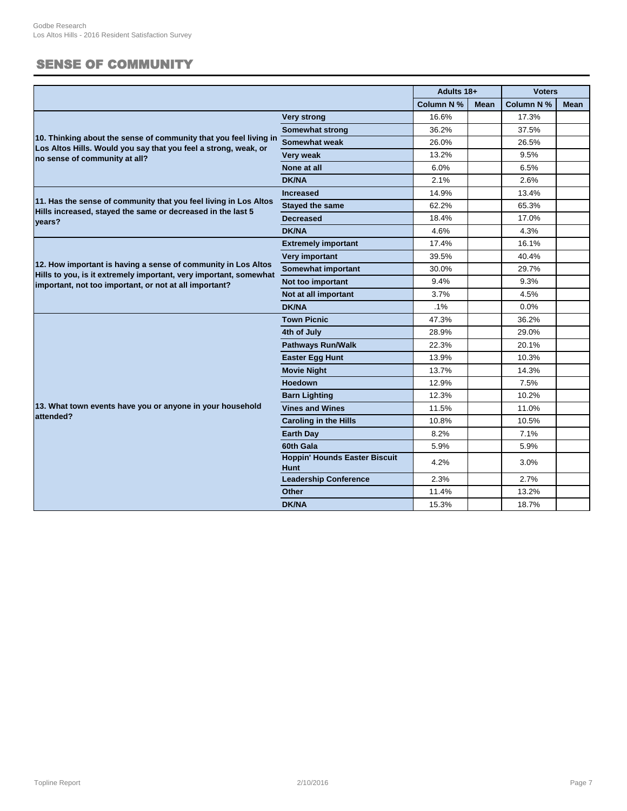## SENSE OF COMMUNITY

|                                                                                                                                      |                                                     | Adults 18+ |             | <b>Voters</b> |             |
|--------------------------------------------------------------------------------------------------------------------------------------|-----------------------------------------------------|------------|-------------|---------------|-------------|
|                                                                                                                                      |                                                     | Column N % | <b>Mean</b> | Column N %    | <b>Mean</b> |
|                                                                                                                                      | <b>Very strong</b>                                  | 16.6%      |             | 17.3%         |             |
|                                                                                                                                      | <b>Somewhat strong</b>                              | 36.2%      |             | 37.5%         |             |
| 10. Thinking about the sense of community that you feel living in<br>Los Altos Hills. Would you say that you feel a strong, weak, or | Somewhat weak                                       | 26.0%      |             | 26.5%         |             |
| no sense of community at all?                                                                                                        | Very weak                                           | 13.2%      |             | 9.5%          |             |
|                                                                                                                                      | None at all                                         | 6.0%       |             | 6.5%          |             |
|                                                                                                                                      | <b>DK/NA</b>                                        | 2.1%       |             | 2.6%          |             |
|                                                                                                                                      | <b>Increased</b>                                    | 14.9%      |             | 13.4%         |             |
| 11. Has the sense of community that you feel living in Los Altos<br>Hills increased, stayed the same or decreased in the last 5      | <b>Stayed the same</b>                              | 62.2%      |             | 65.3%         |             |
| years?                                                                                                                               | <b>Decreased</b>                                    | 18.4%      |             | 17.0%         |             |
|                                                                                                                                      | DK/NA                                               | 4.6%       |             | 4.3%          |             |
|                                                                                                                                      | <b>Extremely important</b>                          | 17.4%      |             | 16.1%         |             |
|                                                                                                                                      | Very important                                      | 39.5%      |             | 40.4%         |             |
| 12. How important is having a sense of community in Los Altos<br>Hills to you, is it extremely important, very important, somewhat   | Somewhat important                                  | 30.0%      |             | 29.7%         |             |
| important, not too important, or not at all important?                                                                               | Not too important                                   | 9.4%       |             | 9.3%          |             |
|                                                                                                                                      | Not at all important                                | 3.7%       |             | 4.5%          |             |
|                                                                                                                                      | <b>DK/NA</b>                                        | .1%        |             | 0.0%          |             |
|                                                                                                                                      | <b>Town Picnic</b>                                  | 47.3%      |             | 36.2%         |             |
|                                                                                                                                      | 4th of July                                         | 28.9%      |             | 29.0%         |             |
|                                                                                                                                      | <b>Pathways Run/Walk</b>                            | 22.3%      |             | 20.1%         |             |
|                                                                                                                                      | <b>Easter Egg Hunt</b>                              | 13.9%      |             | 10.3%         |             |
|                                                                                                                                      | <b>Movie Night</b>                                  | 13.7%      |             | 14.3%         |             |
|                                                                                                                                      | <b>Hoedown</b>                                      | 12.9%      |             | 7.5%          |             |
|                                                                                                                                      | <b>Barn Lighting</b>                                | 12.3%      |             | 10.2%         |             |
| 13. What town events have you or anyone in your household                                                                            | <b>Vines and Wines</b>                              | 11.5%      |             | 11.0%         |             |
| attended?                                                                                                                            | <b>Caroling in the Hills</b>                        | 10.8%      |             | 10.5%         |             |
|                                                                                                                                      | <b>Earth Day</b>                                    | 8.2%       |             | 7.1%          |             |
|                                                                                                                                      | 60th Gala                                           | 5.9%       |             | 5.9%          |             |
|                                                                                                                                      | <b>Hoppin' Hounds Easter Biscuit</b><br><b>Hunt</b> | 4.2%       |             | 3.0%          |             |
|                                                                                                                                      | <b>Leadership Conference</b>                        | 2.3%       |             | 2.7%          |             |
|                                                                                                                                      | Other                                               | 11.4%      |             | 13.2%         |             |
|                                                                                                                                      | <b>DK/NA</b>                                        | 15.3%      |             | 18.7%         |             |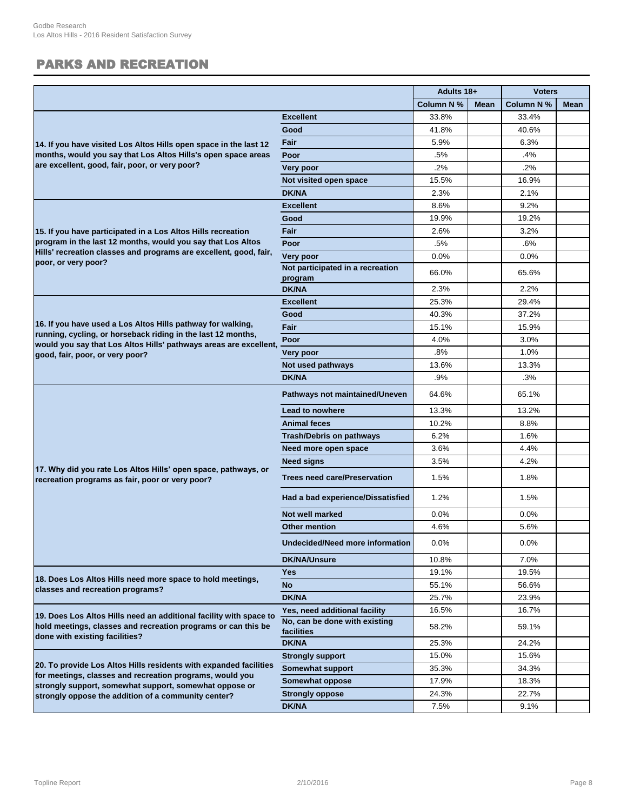# PARKS AND RECREATION

|                                                                                                                                                                                                  |                                             | Adults 18+ |             | <b>Voters</b> |             |
|--------------------------------------------------------------------------------------------------------------------------------------------------------------------------------------------------|---------------------------------------------|------------|-------------|---------------|-------------|
|                                                                                                                                                                                                  |                                             | Column N % | <b>Mean</b> | Column N %    | <b>Mean</b> |
|                                                                                                                                                                                                  | <b>Excellent</b>                            | 33.8%      |             | 33.4%         |             |
|                                                                                                                                                                                                  | Good                                        | 41.8%      |             | 40.6%         |             |
| 14. If you have visited Los Altos Hills open space in the last 12                                                                                                                                | Fair                                        | 5.9%       |             | 6.3%          |             |
| months, would you say that Los Altos Hills's open space areas                                                                                                                                    | Poor                                        | .5%        |             | .4%           |             |
| are excellent, good, fair, poor, or very poor?                                                                                                                                                   | Very poor                                   | 2%         |             | .2%           |             |
|                                                                                                                                                                                                  | Not visited open space                      | 15.5%      |             | 16.9%         |             |
|                                                                                                                                                                                                  | <b>DK/NA</b>                                | 2.3%       |             | 2.1%          |             |
|                                                                                                                                                                                                  | <b>Excellent</b>                            | 8.6%       |             | 9.2%          |             |
|                                                                                                                                                                                                  | Good                                        | 19.9%      |             | 19.2%         |             |
| 15. If you have participated in a Los Altos Hills recreation                                                                                                                                     | <b>Fair</b>                                 | 2.6%       |             | 3.2%          |             |
| program in the last 12 months, would you say that Los Altos                                                                                                                                      | Poor                                        | .5%        |             | .6%           |             |
| Hills' recreation classes and programs are excellent, good, fair,                                                                                                                                | Very poor                                   | 0.0%       |             | 0.0%          |             |
| poor, or very poor?                                                                                                                                                                              | Not participated in a recreation<br>program | 66.0%      |             | 65.6%         |             |
|                                                                                                                                                                                                  | <b>DK/NA</b>                                | 2.3%       |             | 2.2%          |             |
|                                                                                                                                                                                                  | <b>Excellent</b>                            | 25.3%      |             | 29.4%         |             |
|                                                                                                                                                                                                  | Good                                        | 40.3%      |             | 37.2%         |             |
| 16. If you have used a Los Altos Hills pathway for walking,<br>running, cycling, or horseback riding in the last 12 months,<br>would you say that Los Altos Hills' pathways areas are excellent, | Fair                                        | 15.1%      |             | 15.9%         |             |
|                                                                                                                                                                                                  | Poor                                        | 4.0%       |             | 3.0%          |             |
| good, fair, poor, or very poor?                                                                                                                                                                  | Very poor                                   | .8%        |             | 1.0%          |             |
|                                                                                                                                                                                                  | Not used pathways                           | 13.6%      |             | 13.3%         |             |
|                                                                                                                                                                                                  | <b>DK/NA</b>                                | .9%        |             | .3%           |             |
|                                                                                                                                                                                                  | Pathways not maintained/Uneven              | 64.6%      |             | 65.1%         |             |
|                                                                                                                                                                                                  | Lead to nowhere                             | 13.3%      |             | 13.2%         |             |
|                                                                                                                                                                                                  | <b>Animal feces</b>                         | 10.2%      |             | 8.8%          |             |
|                                                                                                                                                                                                  | <b>Trash/Debris on pathways</b>             | 6.2%       |             | 1.6%          |             |
|                                                                                                                                                                                                  | Need more open space                        | 3.6%       |             | 4.4%          |             |
|                                                                                                                                                                                                  | <b>Need signs</b>                           | 3.5%       |             | 4.2%          |             |
| 17. Why did you rate Los Altos Hills' open space, pathways, or<br>recreation programs as fair, poor or very poor?                                                                                | <b>Trees need care/Preservation</b>         | 1.5%       |             | 1.8%          |             |
|                                                                                                                                                                                                  | Had a bad experience/Dissatisfied           | 1.2%       |             | 1.5%          |             |
|                                                                                                                                                                                                  | Not well marked                             | 0.0%       |             | 0.0%          |             |
|                                                                                                                                                                                                  | <b>Other mention</b>                        | 4.6%       |             | 5.6%          |             |
|                                                                                                                                                                                                  | Undecided/Need more information             | 0.0%       |             | 0.0%          |             |
|                                                                                                                                                                                                  | <b>DK/NA/Unsure</b>                         | 10.8%      |             | 7.0%          |             |
| 18. Does Los Altos Hills need more space to hold meetings,                                                                                                                                       | <b>Yes</b>                                  | 19.1%      |             | 19.5%         |             |
| classes and recreation programs?                                                                                                                                                                 | <b>No</b>                                   | 55.1%      |             | 56.6%         |             |
|                                                                                                                                                                                                  | <b>DK/NA</b>                                | 25.7%      |             | 23.9%         |             |
| 19. Does Los Altos Hills need an additional facility with space to                                                                                                                               | Yes, need additional facility               | 16.5%      |             | 16.7%         |             |
| hold meetings, classes and recreation programs or can this be<br>done with existing facilities?                                                                                                  | No, can be done with existing<br>facilities | 58.2%      |             | 59.1%         |             |
|                                                                                                                                                                                                  | <b>DK/NA</b>                                | 25.3%      |             | 24.2%         |             |
|                                                                                                                                                                                                  | <b>Strongly support</b>                     | 15.0%      |             | 15.6%         |             |
| 20. To provide Los Altos Hills residents with expanded facilities<br>for meetings, classes and recreation programs, would you                                                                    | Somewhat support                            | 35.3%      |             | 34.3%         |             |
| strongly support, somewhat support, somewhat oppose or                                                                                                                                           | Somewhat oppose                             | 17.9%      |             | 18.3%         |             |
| strongly oppose the addition of a community center?                                                                                                                                              | <b>Strongly oppose</b>                      | 24.3%      |             | 22.7%         |             |
|                                                                                                                                                                                                  | <b>DK/NA</b>                                | 7.5%       |             | 9.1%          |             |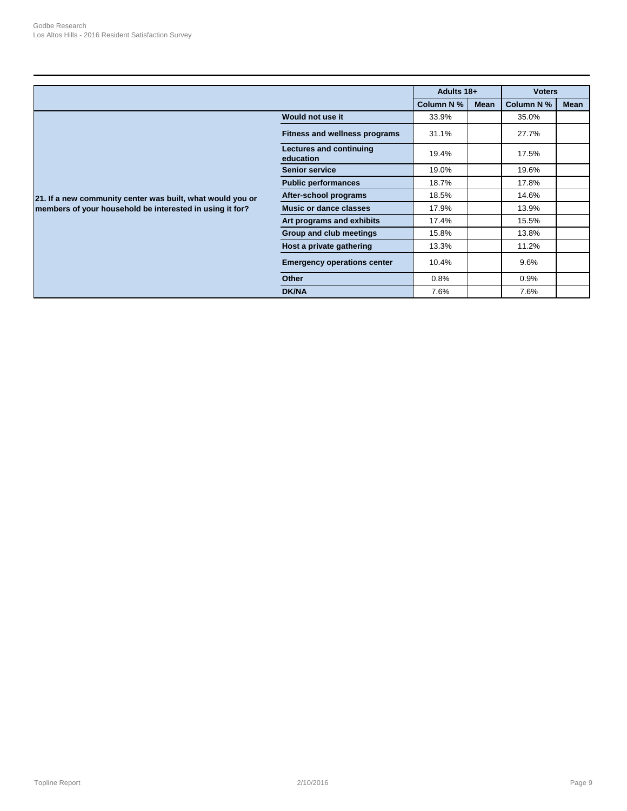|                                                            |                                      | Adults 18+ |             | <b>Voters</b> |             |
|------------------------------------------------------------|--------------------------------------|------------|-------------|---------------|-------------|
|                                                            |                                      | Column N % | <b>Mean</b> | Column N %    | <b>Mean</b> |
|                                                            | Would not use it                     | 33.9%      |             | 35.0%         |             |
|                                                            | <b>Fitness and wellness programs</b> | 31.1%      |             | 27.7%         |             |
|                                                            | Lectures and continuing<br>education | 19.4%      |             | 17.5%         |             |
|                                                            | <b>Senior service</b>                | 19.0%      |             | 19.6%         |             |
|                                                            | <b>Public performances</b>           | 18.7%      |             | 17.8%         |             |
| 21. If a new community center was built, what would you or | After-school programs                | 18.5%      |             | 14.6%         |             |
| members of your household be interested in using it for?   | <b>Music or dance classes</b>        | 17.9%      |             | 13.9%         |             |
|                                                            | Art programs and exhibits            | 17.4%      |             | 15.5%         |             |
|                                                            | Group and club meetings              | 15.8%      |             | 13.8%         |             |
|                                                            | Host a private gathering             | 13.3%      |             | 11.2%         |             |
|                                                            | <b>Emergency operations center</b>   | 10.4%      |             | $9.6\%$       |             |
|                                                            | <b>Other</b>                         | 0.8%       |             | 0.9%          |             |
|                                                            | <b>DK/NA</b>                         | 7.6%       |             | 7.6%          |             |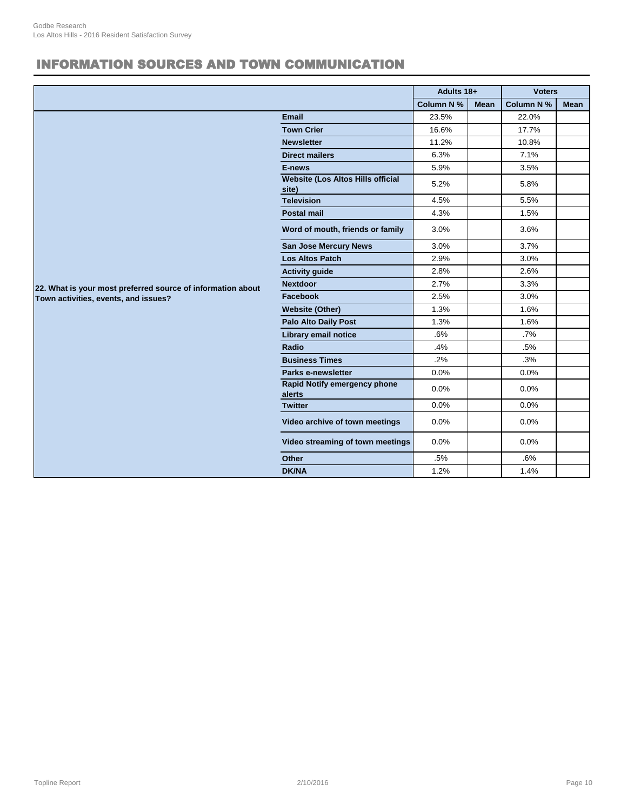# INFORMATION SOURCES AND TOWN COMMUNICATION

|                                                             |                                                   | Adults 18+ |             | <b>Voters</b>     |             |
|-------------------------------------------------------------|---------------------------------------------------|------------|-------------|-------------------|-------------|
|                                                             |                                                   | Column N % | <b>Mean</b> | <b>Column N %</b> | <b>Mean</b> |
|                                                             | Email                                             | 23.5%      |             | 22.0%             |             |
|                                                             | <b>Town Crier</b>                                 | 16.6%      |             | 17.7%             |             |
|                                                             | <b>Newsletter</b>                                 | 11.2%      |             | 10.8%             |             |
|                                                             | <b>Direct mailers</b>                             | 6.3%       |             | 7.1%              |             |
|                                                             | E-news                                            | 5.9%       |             | 3.5%              |             |
|                                                             | <b>Website (Los Altos Hills official</b><br>site) | 5.2%       |             | 5.8%              |             |
|                                                             | <b>Television</b>                                 | 4.5%       |             | 5.5%              |             |
|                                                             | <b>Postal mail</b>                                | 4.3%       |             | 1.5%              |             |
|                                                             | Word of mouth, friends or family                  | 3.0%       |             | 3.6%              |             |
|                                                             | San Jose Mercury News                             | 3.0%       |             | 3.7%              |             |
|                                                             | <b>Los Altos Patch</b>                            | 2.9%       |             | 3.0%              |             |
|                                                             | <b>Activity guide</b>                             | 2.8%       |             | 2.6%              |             |
| 22. What is your most preferred source of information about | <b>Nextdoor</b>                                   | 2.7%       |             | 3.3%              |             |
| Town activities, events, and issues?                        | Facebook                                          | 2.5%       |             | 3.0%              |             |
|                                                             | <b>Website (Other)</b>                            | 1.3%       |             | 1.6%              |             |
|                                                             | <b>Palo Alto Daily Post</b>                       | 1.3%       |             | 1.6%              |             |
|                                                             | Library email notice                              | .6%        |             | $.7\%$            |             |
|                                                             | Radio                                             | .4%        |             | .5%               |             |
|                                                             | <b>Business Times</b>                             | .2%        |             | .3%               |             |
|                                                             | Parks e-newsletter                                | 0.0%       |             | 0.0%              |             |
|                                                             | Rapid Notify emergency phone<br>alerts            | 0.0%       |             | 0.0%              |             |
|                                                             | <b>Twitter</b>                                    | 0.0%       |             | 0.0%              |             |
|                                                             | Video archive of town meetings                    | 0.0%       |             | 0.0%              |             |
|                                                             | Video streaming of town meetings                  | 0.0%       |             | 0.0%              |             |
|                                                             | <b>Other</b>                                      | .5%        |             | .6%               |             |
|                                                             | <b>DK/NA</b>                                      | 1.2%       |             | 1.4%              |             |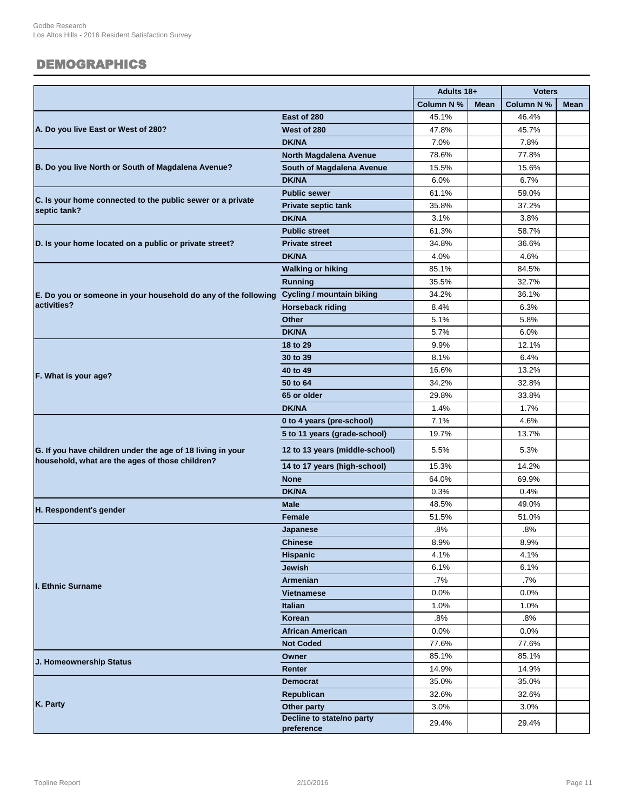#### DEMOGRAPHICS

|                                                                |                                         | Adults 18+ |             | <b>Voters</b> |      |
|----------------------------------------------------------------|-----------------------------------------|------------|-------------|---------------|------|
|                                                                |                                         | Column N % | <b>Mean</b> | Column N %    | Mean |
|                                                                | East of 280                             | 45.1%      |             | 46.4%         |      |
| A. Do you live East or West of 280?                            | West of 280                             | 47.8%      |             | 45.7%         |      |
|                                                                | <b>DK/NA</b>                            | 7.0%       |             | 7.8%          |      |
|                                                                | North Magdalena Avenue                  | 78.6%      |             | 77.8%         |      |
| B. Do you live North or South of Magdalena Avenue?             | South of Magdalena Avenue               | 15.5%      |             | 15.6%         |      |
|                                                                | <b>DK/NA</b>                            | 6.0%       |             | 6.7%          |      |
|                                                                | <b>Public sewer</b>                     | 61.1%      |             | 59.0%         |      |
| C. Is your home connected to the public sewer or a private     | <b>Private septic tank</b>              | 35.8%      |             | 37.2%         |      |
| septic tank?                                                   | <b>DK/NA</b>                            | 3.1%       |             | 3.8%          |      |
|                                                                | <b>Public street</b>                    | 61.3%      |             | 58.7%         |      |
| D. Is your home located on a public or private street?         | <b>Private street</b>                   | 34.8%      |             | 36.6%         |      |
|                                                                | <b>DK/NA</b>                            | 4.0%       |             | 4.6%          |      |
|                                                                | <b>Walking or hiking</b>                | 85.1%      |             | 84.5%         |      |
|                                                                | <b>Running</b>                          | 35.5%      |             | 32.7%         |      |
| E. Do you or someone in your household do any of the following | <b>Cycling / mountain biking</b>        | 34.2%      |             | 36.1%         |      |
| activities?                                                    | <b>Horseback riding</b>                 | 8.4%       |             | 6.3%          |      |
|                                                                | <b>Other</b>                            | 5.1%       |             | 5.8%          |      |
|                                                                | <b>DK/NA</b>                            | 5.7%       |             | 6.0%          |      |
|                                                                | 18 to 29                                | 9.9%       |             | 12.1%         |      |
|                                                                | 30 to 39                                | 8.1%       |             | 6.4%          |      |
|                                                                | 40 to 49                                | 16.6%      |             | 13.2%         |      |
| F. What is your age?                                           | 50 to 64                                | 34.2%      |             | 32.8%         |      |
|                                                                | 65 or older                             | 29.8%      |             | 33.8%         |      |
|                                                                | <b>DK/NA</b>                            | 1.4%       |             | 1.7%          |      |
|                                                                | 0 to 4 years (pre-school)               | 7.1%       |             | 4.6%          |      |
|                                                                | 5 to 11 years (grade-school)            | 19.7%      |             | 13.7%         |      |
| G. If you have children under the age of 18 living in your     | 12 to 13 years (middle-school)          | 5.5%       |             | 5.3%          |      |
| household, what are the ages of those children?                | 14 to 17 years (high-school)            | 15.3%      |             | 14.2%         |      |
|                                                                | <b>None</b>                             | 64.0%      |             | 69.9%         |      |
|                                                                | <b>DK/NA</b>                            | 0.3%       |             | 0.4%          |      |
|                                                                | <b>Male</b>                             | 48.5%      |             | 49.0%         |      |
| H. Respondent's gender                                         | Female                                  | 51.5%      |             | 51.0%         |      |
|                                                                | Japanese                                | .8%        |             | .8%           |      |
|                                                                | <b>Chinese</b>                          | 8.9%       |             | 8.9%          |      |
|                                                                | <b>Hispanic</b>                         | 4.1%       |             | 4.1%          |      |
|                                                                | Jewish                                  | 6.1%       |             | 6.1%          |      |
| <b>I. Ethnic Surname</b>                                       | Armenian                                | .7%        |             | .7%           |      |
|                                                                | <b>Vietnamese</b>                       | $0.0\%$    |             | 0.0%          |      |
|                                                                | <b>Italian</b>                          | 1.0%       |             | 1.0%          |      |
|                                                                | Korean                                  | .8%        |             | $.8\%$        |      |
|                                                                | <b>African American</b>                 | $0.0\%$    |             | 0.0%          |      |
|                                                                | <b>Not Coded</b>                        | 77.6%      |             | 77.6%         |      |
| J. Homeownership Status                                        | Owner                                   | 85.1%      |             | 85.1%         |      |
|                                                                | Renter                                  | 14.9%      |             | 14.9%         |      |
|                                                                | <b>Democrat</b>                         | 35.0%      |             | 35.0%         |      |
|                                                                | Republican                              | 32.6%      |             | 32.6%         |      |
| K. Party                                                       | Other party                             | 3.0%       |             | 3.0%          |      |
|                                                                | Decline to state/no party<br>preference | 29.4%      |             | 29.4%         |      |